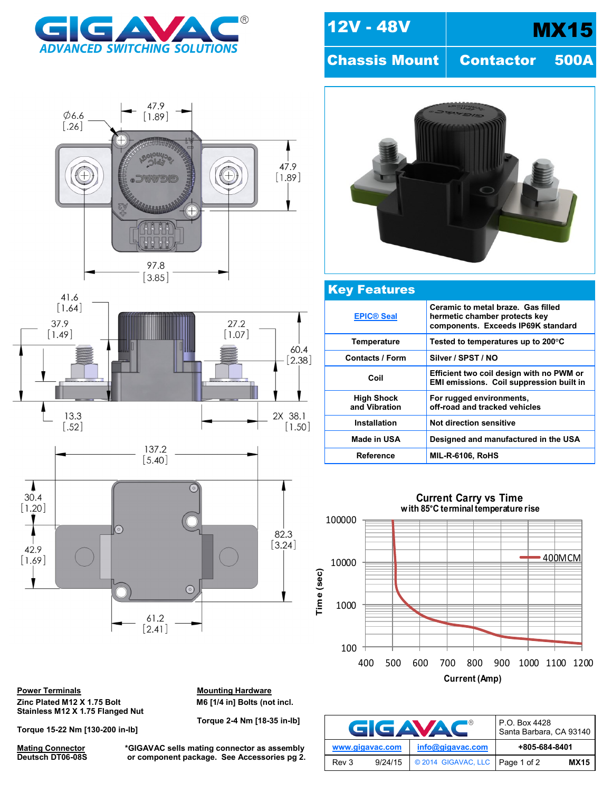







**Power Terminals Mounting Hardware** Zinc Plated M12 X 1.75 Bolt M6 [1/4 in] Bolts (not incl. **Stainless M12 X 1.75 Flanged Nut**

**Torque 15-22 Nm [130-200 in-lb]**

**Mating Connector \*GIGAVAC sells mating connector as assembly or component package. See Accessories pg 2.** 

**Torque 2-4 Nm [18-35 in-lb]**

12V - 48V | MX15

Chassis Mount | Contactor 500A



## Key Features **[EPIC® Seal](http://www.gigavac.com/apps/relays/epic/index.htm) Ceramic to metal braze. Gas filled hermetic chamber protects key components. Exceeds IP69K standard Temperature Tested to temperatures up to 200°C** Contacts / Form | Silver / SPST / NO **Coil Efficient two coil design with no PWM or EMI emissions. Coil suppression built in High Shock and Vibration For rugged environments, off-road and tracked vehicles Installation Not direction sensitive Made in USA Designed and manufactured in the USA Reference MIL-R-6106, RoHS**

**Current Carry vs Time with 85°C terminal temperature rise**



|                 | GGAVAC  | P.O. Box 4428<br>Santa Barbara, CA 93140 |               |             |
|-----------------|---------|------------------------------------------|---------------|-------------|
| www.gigavac.com |         | info@gigavac.com                         | +805-684-8401 |             |
| Rev 3           | 9/24/15 | © 2014 GIGAVAC, LLC                      | Page 1 of 2   | <b>MX15</b> |